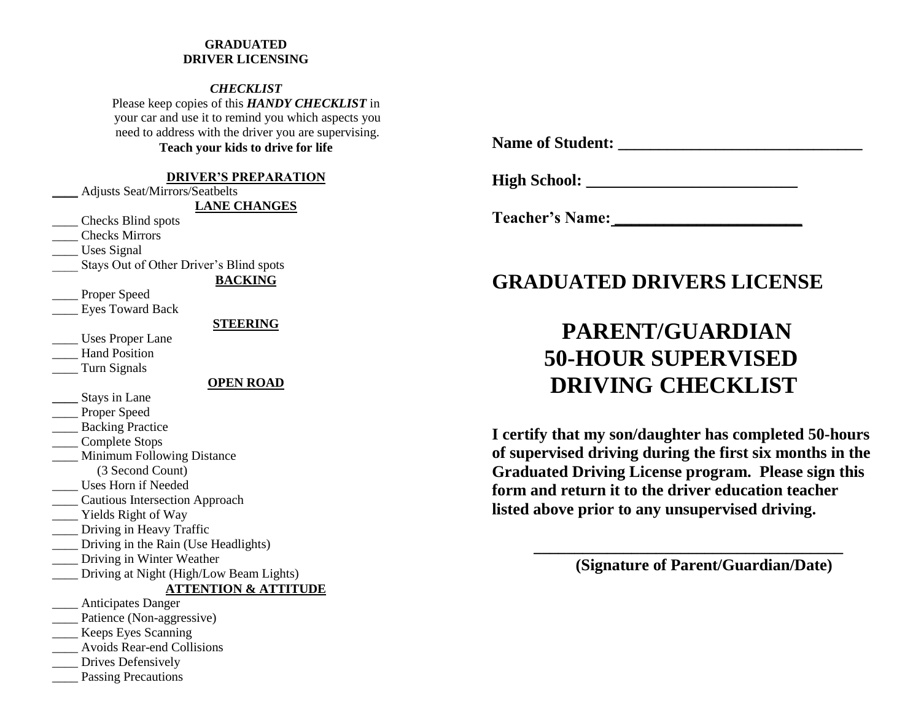#### **GRADUATED DRIVER LICENSING**

*CHECKLIST* Please keep copies of this *HANDY CHECKLIST* in your car and use it to remind you which aspects you need to address with the driver you are supervising. **Teach your kids to drive for life**

#### **DRIVER'S PREPARATION**

\_\_\_\_ Adjusts Seat/Mirrors/Seatbelts

**LANE CHANGES**

\_\_\_\_ Checks Blind spots

\_\_\_\_ Checks Mirrors

Uses Signal

Stays Out of Other Driver's Blind spots

**BACKING**

Proper Speed

Eyes Toward Back

**STEERING**

\_\_\_\_ Uses Proper Lane

Hand Position

\_\_\_\_ Turn Signals

#### **OPEN ROAD**

**\_\_\_\_** Stays in Lane

Proper Speed

\_\_\_\_ Backing Practice

\_\_\_\_ Complete Stops

\_\_\_\_ Minimum Following Distance

(3 Second Count)

\_\_\_\_ Uses Horn if Needed

\_\_\_\_ Cautious Intersection Approach

\_\_\_\_ Yields Right of Way

\_\_\_\_ Driving in Heavy Traffic

\_\_\_\_ Driving in the Rain (Use Headlights)

\_\_\_\_ Driving in Winter Weather

Driving at Night (High/Low Beam Lights)

#### **ATTENTION & ATTITUDE**

\_\_\_\_ Anticipates Danger \_\_\_\_ Patience (Non-aggressive)

\_\_\_\_ Keeps Eyes Scanning

\_\_\_\_ Avoids Rear-end Collisions

Drives Defensively

Passing Precautions

**Name of Student: \_\_\_\_\_\_\_\_\_\_\_\_\_\_\_\_\_\_\_\_\_\_\_\_\_\_\_\_\_\_**

**High School:** \_\_\_\_\_\_\_\_\_\_\_\_\_\_\_\_\_\_\_\_\_\_\_\_\_\_

**Teacher's Name: \_\_\_\_\_\_\_\_\_\_\_\_\_\_\_\_\_\_\_\_\_\_\_**

# **GRADUATED DRIVERS LICENSE**

# **PARENT/GUARDIAN 50-HOUR SUPERVISED DRIVING CHECKLIST**

**I certify that my son/daughter has completed 50-hours of supervised driving during the first six months in the Graduated Driving License program. Please sign this form and return it to the driver education teacher listed above prior to any unsupervised driving.**

**(Signature of Parent/Guardian/Date)**

**\_\_\_\_\_\_\_\_\_\_\_\_\_\_\_\_\_\_\_\_\_\_\_\_\_\_\_\_\_\_\_\_\_\_\_\_\_\_**